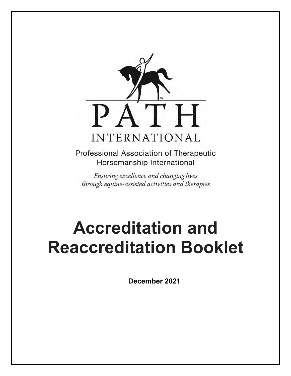

Professional Association of Therapeutic Horsemanship International

Ensuring excellence and changing lives through equine-assisted activities and therapies

# **Accreditation and Reaccreditation Booklet**

**December 2021**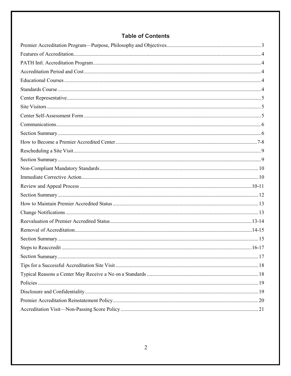# **Table of Contents**

<span id="page-1-0"></span>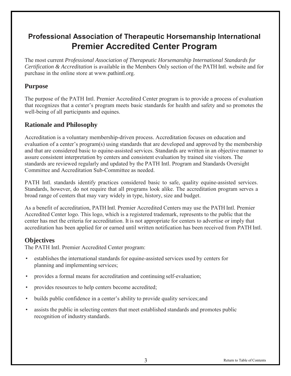# <span id="page-2-0"></span>**Professional Association of Therapeutic Horsemanship International Premier Accredited Center Program**

The most current *Professional Association of Therapeutic Horsemanship International Standards for Certification & Accreditation* is available in the Members Only section of the PATH Intl. website and for purchase in the online store [at www.pathintl.org.](http://www.pathintl.org/)

## **Purpose**

The purpose of the PATH Intl. Premier Accredited Center program is to provide a process of evaluation that recognizes that a center's program meets basic standards for health and safety and so promotes the well-being of all participants and equines.

## **Rationale and Philosophy**

Accreditation is a voluntary membership-driven process. Accreditation focuses on education and evaluation of a center's program(s) using standards that are developed and approved by the membership and that are considered basic to equine-assisted services. Standards are written in an objective manner to assure consistent interpretation by centers and consistent evaluation by trained site visitors. The standards are reviewed regularly and updated by the PATH Intl. Program and Standards Oversight Committee and Accreditation Sub-Committee as needed.

PATH Intl. standards identify practices considered basic to safe, quality equine-assisted services. Standards, however, do not require that all programs look alike. The accreditation program serves a broad range of centers that may vary widely in type, history, size and budget.

As a benefit of accreditation, PATH Intl. Premier Accredited Centers may use the PATH Intl. Premier Accredited Center logo. This logo, which is a registered trademark, represents to the public that the center has met the criteria for accreditation. It is not appropriate for centers to advertise or imply that accreditation has been applied for or earned until written notification has been received from PATH Intl.

#### **Objectives**

The PATH Intl. Premier Accredited Center program:

- establishes the international standards for equine-assisted services used by centers for planning and implementing services;
- provides a formal means for accreditation and continuing self-evaluation;
- provides resources to help centers become accredited;
- builds public confidence in a center's ability to provide quality services; and
- assists the public in selecting centers that meet established standards and promotes public recognition of industry standards.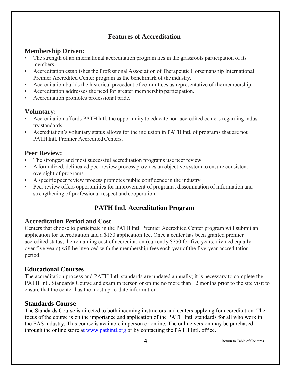# **Features of Accreditation**

#### <span id="page-3-0"></span>**Membership Driven:**

- The strength of an international accreditation program lies in the grassroots participation of its members.
- Accreditation establishes the Professional Association of Therapeutic Horsemanship International Premier Accredited Center program as the benchmark of the industry.
- Accreditation builds the historical precedent of committees as representative of the membership.
- Accreditation addresses the need for greater membership participation.
- Accreditation promotes professional pride.

#### **Voluntary:**

- Accreditation affords PATH Intl. the opportunity to educate non-accredited centers regarding industry standards.
- Accreditation's voluntary status allows for the inclusion in PATH Intl. of programs that are not PATH Intl. Premier Accredited Centers.

## **Peer Review:**

- The strongest and most successful accreditation programs use peer review.
- <span id="page-3-1"></span>• A formalized, delineated peer review process provides an objective system to ensure consistent oversight of programs.
- A specific peer review process promotes public confidence in the industry.
- Peer review offers opportunities for improvement of programs, dissemination of information and strengthening of professional respect and cooperation.

# <span id="page-3-3"></span><span id="page-3-2"></span>**PATH Intl. Accreditation Program**

#### **Accreditation Period and Cost**

Centers that choose to participate in the PATH Intl. Premier Accredited Center program will submit an application for accreditation and a \$150 application fee. Once a center has been granted premier accredited status, the remaining cost of accreditation (currently \$750 for five years, divided equally over five years) will be invoiced with the membership fees each year of the five-year accreditation period.

#### **Educational Courses**

The accreditation process and PATH Intl. standards are updated annually; it is necessary to complete the PATH Intl. Standards Course and exam in person or online no more than 12 months prior to the site visit to ensure that the center has the most up-to-date information.

#### **Standards Course**

The Standards Course is directed to both incoming instructors and centers applying for accreditation. The focus of the course is on the importance and application of the PATH Intl. standards for all who work in the EAS industry. This course is available in person or online. The online version may be purchased through the online store [at www.pathintl.org o](https://netforum.avectra.com/eweb/shopping/shopping.aspx?site=pathintl&%3Bwebcode=shopping&%3Bshopsearch=cat&%3Bprd_key=9a63409f-4023-4a6a-a3d9-f37bc9e42632)r by contacting the PATH Intl. office.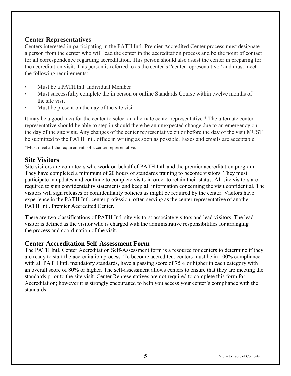#### <span id="page-4-0"></span>**Center Representatives**

Centers interested in participating in the PATH Intl. Premier Accredited Center process must designate a person from the center who will lead the center in the accreditation process and be the point of contact for all correspondence regarding accreditation. This person should also assist the center in preparing for the accreditation visit. This person is referred to as the center's "center representative" and must meet the following requirements:

- <span id="page-4-1"></span>• Must be a PATH Intl. Individual Member
- Must successfully complete the in person or online Standards Course within twelve months of the site visit
- <span id="page-4-2"></span>Must be present on the day of the site visit

It may be a good idea for the center to select an alternate center representative.\* The alternate center representative should be able to step in should there be an unexpected change due to an emergency on the day of the site visit. Any changes of the center representative on or before the day of the visit MUST be submitted to the PATH Intl. office in writing as soon as possible. Faxes and emails are acceptable.

\*Must meet all the requirements of a center representative.

#### **Site Visitors**

Site visitors are volunteers who work on behalf of PATH Intl. and the premier accreditation program. They have completed a minimum of 20 hours of standards training to become visitors. They must participate in updates and continue to complete visits in order to retain their status. All site visitors are required to sign confidentiality statements and keep all information concerning the visit confidential. The visitors will sign releases or confidentiality policies as might be required by the center. Visitors have experience in the PATH Intl. center profession, often serving as the center representative of another PATH Intl. Premier Accredited Center.

There are two classifications of PATH Intl. site visitors: associate visitors and lead visitors. The lead visitor is defined as the visitor who is charged with the administrative responsibilities for arranging the process and coordination of the visit.

#### **Center Accreditation Self-Assessment Form**

The PATH Intl. Center Accreditation Self-Assessment form is a resource for centers to determine if they are ready to start the accreditation process. To become accredited, centers must be in 100% compliance with all PATH Intl. mandatory standards, have a passing score of 75% or higher in each category with an overall score of 80% or higher. The self-assessment allows centers to ensure that they are meeting the standards prior to the site visit. Center Representatives are not required to complete this form for Accreditation; however it is strongly encouraged to help you access your center's compliance with the standards.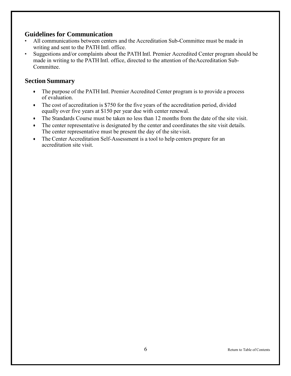#### <span id="page-5-0"></span>**Guidelines for Communication**

- All communications between centers and the Accreditation Sub-Committee must be made in writing and sent to the PATH Intl. office.
- Suggestions and/or complaints about the PATH Intl. Premier Accredited Center program should be made in writing to the PATH Intl. office, directed to the attention of the Accreditation Sub-Committee.

- The purpose of the PATH Intl. Premier Accredited Center program is to provide a process of evaluation.
- The cost of accreditation is \$750 for the five years of the accreditation period, divided equally over five years at \$150 per year due with center renewal.
- The Standards Course must be taken no less than 12 months from the date of the site visit.
- The center representative is designated by the center and coordinates the site visit details. The center representative must be present the day of the site visit.
- The Center Accreditation Self-Assessment is a tool to help centers prepare for an accreditation site visit.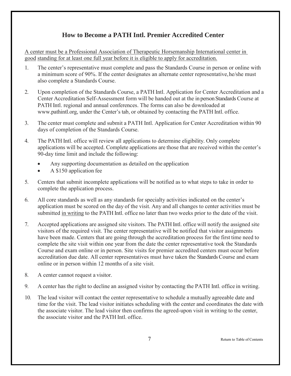# **How to Become a PATH Intl. Premier Accredited Center**

<span id="page-6-0"></span>A center must be a Professional Association of Therapeutic Horsemanship International center in good standing for at least one full year before it is eligible to apply for accreditation.

- 1. The center's representative must complete and pass the Standards Course in person or online with a minimum score of 90%. If the center designates an alternate center representative, he/she must also complete a Standards Course.
- 2. Upon completion of the Standards Course, a PATH Intl. Application for Center Accreditation and a Center Accreditation Self-Assessment form will be handed out at the in person Standards Course at PATH Intl. regional and annual conferences. The forms can also be downloaded a[t](http://www.pathintl.org/path-intl-centers/path-intl-center-accreditation) [www.pathintl.org,](http://www.pathintl.org/path-intl-centers/path-intl-center-accreditation) under the Center's tab, or obtained by contacting the PATH Intl. office.
- 3. The center must complete and submit a PATH Intl. Application for Center Accreditation within 90 days of completion of the Standards Course.
- 4. The PATH Intl. office will review all applications to determine eligibility. Only complete applications will be accepted. Complete applications are those that are received within the center's 90-day time limit and include the following:
	- Any supporting documentation as detailed on the application
	- A \$150 application fee
- 5. Centers that submit incomplete applications will be notified as to what steps to take in order to complete the application process.
- 6. All core standards as well as any standards for specialty activities indicated on the center's application must be scored on the day of the visit. Any and all changes to center activities must be submitted in writing to the PATH Intl. office no later than two weeks prior to the date of the visit.
- 7. Accepted applications are assigned site visitors. The PATH Intl. office will notify the assigned site visitors of the required visit. The center representative will be notified that visitor assignments have been made. Centers that are going through the accreditation process for the first time need to complete the site visit within one year from the date the center representative took the Standards Course and exam online or in person. Site visits for premier accredited centers must occur before accreditation due date. All center representatives must have taken the Standards Course and exam online or in person within 12 months of a site visit.
- 8. A center cannot request a visitor.
- 9. A center has the right to decline an assigned visitor by contacting the PATH Intl. office in writing.
- 10. The lead visitor will contact the center representative to schedule a mutually agreeable date and time for the visit. The lead visitor initiates scheduling with the center and coordinates the date with the associate visitor. The lead visitor then confirms the agreed-upon visit in writing to the center, the associate visitor and the PATH Intl. office.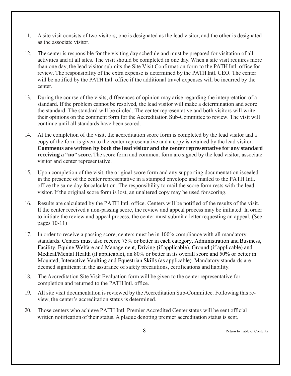- 11. A site visit consists of two visitors; one is designated as the lead visitor, and the other is designated as the associate visitor.
- 12. The center is responsible for the visiting day schedule and must be prepared for visitation of all activities and at all sites. The visit should be completed in one day. When a site visit requires more than one day, the lead visitor submits the Site Visit Confirmation form to the PATH Intl. office for review. The responsibility of the extra expense is determined by the PATH Intl. CEO. The center will be notified by the PATH Intl. office if the additional travel expenses will be incurred by the center.
- 13. During the course of the visits, differences of opinion may arise regarding the interpretation of a standard. If the problem cannot be resolved, the lead visitor will make a determination and score the standard. The standard will be circled. The center representative and both visitors will write their opinions on the comment form for the Accreditation Sub-Committee to review. The visit will continue until all standards have been scored.
- 14. At the completion of the visit, the accreditation score form is completed by the lead visitor and a copy of the form is given to the center representative and a copy is retained by the lead visitor. **Comments are written by both the lead visitor and the center representative for any standard receiving a "no" score.** The score form and comment form are signed by the lead visitor, associate visitor and center representative.
- 15. Upon completion of the visit, the original score form and any supporting documentation is sealed in the presence of the center representative in a stamped envelope and mailed to the PATH Intl. office the same day for calculation. The responsibility to mail the score form rests with the lead visitor. If the original score form is lost, an unaltered copy may be used for scoring.
- 16. Results are calculated by the PATH Intl. office. Centers will be notified of the results of the visit. If the center received a non-passing score, the review and appeal process may be initiated. In order to initiate the review and appeal process, the center must submit a letter requesting an appe[al. \(See](#page-9-0) [pages 10-11\)](#page-9-0)
- 17. In order to receive a passing score, centers must be in 100% compliance with all mandatory standards. Centers must also receive 75% or better in each category, Administration and Business, Facility, Equine Welfare and Management, Driving (if applicable), Ground (if applicable) and Medical/Mental Health (if applicable), an 80% or better in its overall score and 50% or better in Mounted, Interactive Vaulting and Equestrian Skills (as applicable). Mandatory standards are deemed significant in the assurance of safety precautions, certifications and liability.
- 18. The Accreditation Site Visit Evaluation form will be given to the center representative for completion and returned to the PATH Intl. office.
- 19. All site visit documentation is reviewed by the Accreditation Sub-Committee. Following this review, the center's accreditation status is determined.
- 20. Those centers who achieve PATH Intl. Premier Accredited Center status will be sent official written notification of their status. A plaque denoting premier accreditation status is sent.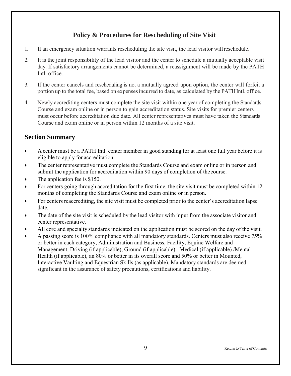# **Policy & Procedures for Rescheduling of Site Visit**

- <span id="page-8-0"></span>1. If an emergency situation warrants rescheduling the site visit, the lead visitor willreschedule.
- 2. It is the joint responsibility of the lead visitor and the center to schedule a mutually acceptable visit day. If satisfactory arrangements cannot be determined, a reassignment will be made by the PATH Intl. office.
- 3. If the center cancels and rescheduling is not a mutually agreed upon option, the center will forfeit a portion up to the total fee, based on expensesincurred to date, as calculated by the PATHIntl. office.
- <span id="page-8-1"></span>4. Newly accrediting centers must complete the site visit within one year of completing the Standards Course and exam online or in person to gain accreditation status. Site visits for premier centers must occur before accreditation due date. All center representatives must have taken the Standards Course and exam online or in person within 12 months of a site visit.

- A center must be a PATH Intl. center member in good standing for at least one full year before it is eligible to apply for accreditation.
- The center representative must complete the Standards Course and exam online or in person and submit the application for accreditation within 90 days of completion of the course.
- The application fee is \$150.
- For centers going through accreditation for the first time, the site visit must be completed within 12 months of completing the Standards Course and exam online or in person.
- For centers reaccrediting, the site visit must be completed prior to the center's accreditation lapse date.
- The date of the site visit is scheduled by the lead visitor with input from the associate visitor and center representative.
- All core and specialty standards indicated on the application must be scored on the day of the visit.
- A passing score is 100% compliance with all mandatory standards. Centers must also receive 75% or better in each category, Administration and Business, Facility, Equine Welfare and Management, Driving (if applicable), Ground (if applicable), Medical (if applicable) /Mental Health (if applicable), an 80% or better in its overall score and 50% or better in Mounted, Interactive Vaulting and Equestrian Skills (as applicable). Mandatory standards are deemed significant in the assurance of safety precautions, certifications and liability.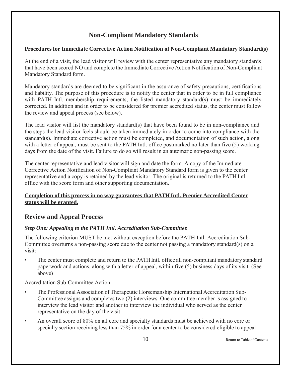# **Non-Compliant Mandatory Standards**

#### <span id="page-9-1"></span><span id="page-9-0"></span>**Procedures for Immediate Corrective Action Notification of Non-Compliant Mandatory Standard(s)**

At the end of a visit, the lead visitor will review with the center representative any mandatory standards that have been scored NO and complete the Immediate Corrective Action Notification of Non-Compliant Mandatory Standard form.

Mandatory standards are deemed to be significant in the assurance of safety precautions, certifications and liability. The purpose of this procedure is to notify the center that in order to be in full compliance with PATH Intl. membership requirements, the listed mandatory standard(s) must be immediately corrected. In addition and in order to be considered for premier accredited status, the center must follow the review and appeal process (see below).

The lead visitor will list the mandatory standard(s) that have been found to be in non-compliance and the steps the lead visitor feels should be taken immediately in order to come into compliance with the standard(s). Immediate corrective action must be completed, and documentation of such action, along with a letter of appeal, must be sent to the PATH Intl. office postmarked no later than five (5) working days from the date of the visit. Failure to do so will result in an automatic non-passing score.

The center representative and lead visitor will sign and date the form. A copy of the Immediate Corrective Action Notification of Non-Compliant Mandatory Standard form is given to the center representative and a copy is retained by the lead visitor. The original is returned to the PATH Intl. office with the score form and other supporting documentation.

#### <span id="page-9-2"></span>**Completion of this process in no way guarantees that PATH Intl. Premier Accredited Center status will be granted.**

#### **Review and Appeal Process**

#### *Step One: Appealing to the PATH Intl. Accreditation Sub-Committee*

The following criterion MUST be met without exception before the PATH Intl. Accreditation Sub-Committee overturns a non-passing score due to the center not passing a mandatory standard(s) on a visit:

• The center must complete and return to the PATHIntl. office all non-compliant mandatory standard paperwork and actions, along with a letter of appeal, within five (5) business days of its visit. (See above)

Accreditation Sub-Committee Action

- The Professional Association of Therapeutic Horsemanship International Accreditation Sub-Committee assigns and completes two (2) interviews. One committee member is assigned to interview the lead visitor and another to interview the individual who served as the center representative on the day of the visit.
- An overall score of 80% on all core and specialty standards must be achieved with no core or specialty section receiving less than 75% in order for a center to be considered eligible to appeal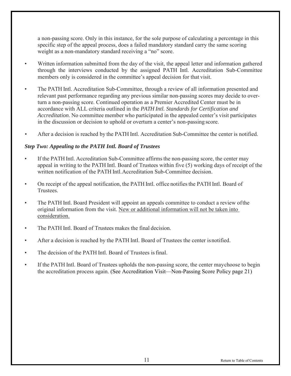<span id="page-10-0"></span>a non-passing score. Only in this instance, for the sole purpose of calculating a percentage in this specific step of the appeal process, does a failed mandatory standard carry the same scoring weight as a non-mandatory standard receiving a "no" score.

- Written information submitted from the day of the visit, the appeal letter and information gathered through the interviews conducted by the assigned PATH Intl. Accreditation Sub-Committee members only is considered in the committee's appeal decision for that visit.
- The PATH Intl. Accreditation Sub-Committee, through a review of all information presented and relevant past performance regarding any previous similar non-passing scores may decide to overturn a non-passing score. Continued operation as a Premier Accredited Center must be in accordance with ALL criteria outlined in the *PATH Intl. Standards for Certification and Accreditation*. No committee member who participated in the appealed center's visit participates in the discussion or decision to uphold or overturn a center's non-passing score.
- After a decision is reached by the PATH Intl. Accreditation Sub-Committee the center is notified.

#### *Step Two: Appealing to the PATH Intl. Board of Trustees*

- If the PATH Intl. Accreditation Sub-Committee affirms the non-passing score, the center may appeal in writing to the PATH Intl. Board of Trustees within five (5) working days of receipt of the written notification of the PATH Intl.Accreditation Sub-Committee decision.
- On receipt of the appeal notification, the PATH Intl. office notifies the PATH Intl. Board of Trustees.
- The PATH Intl. Board President will appoint an appeals committee to conduct a review of the original information from the visit. New or additional information will not be taken into consideration.
- The PATH Intl. Board of Trustees makes the final decision.
- After a decision is reached by the PATH Intl. Board of Trustees the center is notified.
- The decision of the PATH Intl. Board of Trustees is final.
- If the PATH Intl. Board of Trustees upholds the non-passing score, the center may choose to begin the accreditation process again. [\(See Accreditation Visit—Non-Passing Score Policy](#page-20-0) page 21)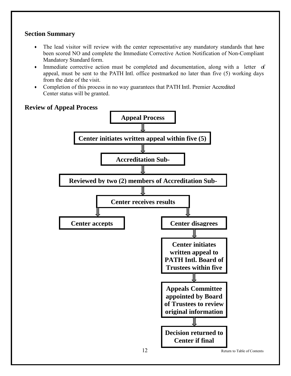#### <span id="page-11-0"></span>**Section Summary**

- The lead visitor will review with the center representative any mandatory standards that have been scored NO and complete the Immediate Corrective Action Notification of Non-Compliant Mandatory Standard form.
- Immediate corrective action must be completed and documentation, along with a letter of appeal, must be sent to the PATH Intl. office postmarked no later than five (5) working days from the date of the visit.
- Completion of this process in no way guarantees that PATH Intl. Premier Accredited Center status will be granted.



#### **Review of Appeal Process**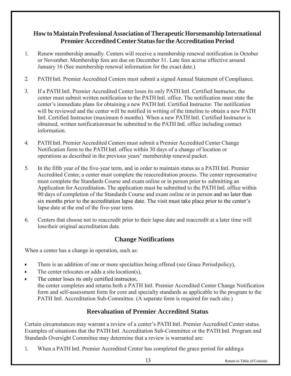## <span id="page-12-0"></span>**How to Maintain Professional Association of TherapeuticHorsemanship International Premier AccreditedCenter Status for theAccreditation Period**

- 1. Renew membership annually. Centers will receive a membership renewal notification in October or November. Membership fees are due on December 31. Late fees accrue effective around January 16 (See membership renewal information for the exact date.)
- 2. PATH Intl. Premier Accredited Centers must submit a signed Annual Statement of Compliance.
- 3. If a PATH Intl. Premier Accredited Center loses its only PATH Intl. Certified Instructor, the center must submit written notification to the PATH Intl. office. The notification must state the center's immediate plans for obtaining a new PATH Intl. Certified Instructor. The notification will be reviewed and the center will be notified in writing of the timeline to obtain a new PATH Intl. Certified Instructor (maximum 6 months). When a new PATH Intl. Certified Instructor is obtained, written notificationmust be submitted to the PATH Intl. office including contact information.
- 4. PATHIntl. Premier Accredited Centers must submit a Premier Accredited Center Change Notification form to the PATH Intl. office within 30 days of a change of location or operations as described in the previous years' membership renewal packet.
- 5. In the fifth year of the five-year term, and in order to maintain status as a PATH Intl. Premier Accredited Center, a center must complete the reaccreditation process. The center representative must complete the Standards Course and exam online or in person prior to submitting an Application for Accreditation. The application must be submitted to the PATH Intl. office within 90 days of completion of the Standards Course and exam online or in person and no later than six months prior to the accreditation lapse date. The visit must take place prior to the center's lapse date at the end of the five-year term.
- 6. Centers that choose not to reaccredit prior to their lapse date and reaccredit at a later time will lose their original accreditation date.

# <span id="page-12-1"></span>**Change Notifications**

When a center has a change in operation, such as:

- There is an addition of one or more specialties being offered (see Grace Period policy),
- The center relocates or adds a site location(s),
- The center loses its only certified instructor, the center completes and returns both a PATH Intl. Premier Accredited Center Change Notification form and self-assessment form for core and specialty standards as applicable to the program to the PATH Intl. Accreditation Sub-Committee. (A separate form is required for each site.)

# **Reevaluation of Premier Accredited Status**

Certain circumstances may warrant a review of a center's PATH Intl. Premier Accredited Center status. Examples of situations that the PATH Intl. Accreditation Sub-Committee or the PATH Intl. Program and Standards Oversight Committee may determine that a review is warranted are:

1. When a PATH Intl. Premier Accredited Center has completed the grace period for adding a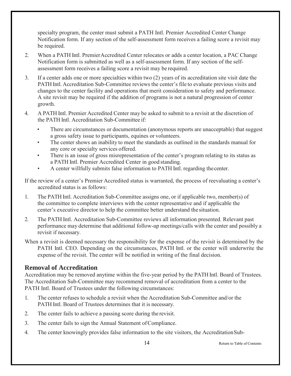specialty program, the center must submit a PATH Intl. Premier Accredited Center Change Notification form. If any section of the self-assessment form receives a failing score a revisit may be required.

- <span id="page-13-0"></span>2. When a PATH Intl. PremierAccredited Center relocates or adds a center location, a PAC Change Notification form is submitted as well as a self-assessment form. If any section of the selfassessment form receives a failing score a revisit may be required.
- 3. If a center adds one or more specialties within two (2) years of its accreditation site visit date the PATH Intl. Accreditation Sub-Committee reviews the center's file to evaluate previous visits and changes to the center facility and operations that merit consideration to safety and performance. A site revisit may be required if the addition of programs is not a natural progression of center growth.
- 4. A PATH Intl. Premier Accredited Center may be asked to submit to a revisit at the discretion of the PATH Intl. Accreditation Sub-Committee if:
	- There are circumstances or documentation (anonymous reports are unacceptable) that suggest a gross safety issue to participants, equines or volunteers.
	- The center shows an inability to meet the standards as outlined in the standards manual for any core or specialty services offered.
	- There is an issue of gross misrepresentation of the center's program relating to its status as a PATH Intl. Premier Accredited Center in good standing.
	- A center willfully submits false information to PATH Intl. regarding thecenter.

If the review of a center's Premier Accredited status is warranted, the process of reevaluating a center's accredited status is as follows:

- 1. The PATH Intl. Accreditation Sub-Committee assigns one, or if applicable two, member(s) of the committee to complete interviews with the center representative and if applicable the center's executive director to help the committee better understand the situation.
- <span id="page-13-1"></span>2. The PATH Intl. Accreditation Sub-Committee reviews all information presented. Relevant past performance may determine that additional follow-up meetings/calls with the center and possibly a revisit if necessary.
- When a revisit is deemed necessary the responsibility for the expense of the revisit is determined by the PATH Intl. CEO. Depending on the circumstances, PATH Intl. or the center will underwrite the expense of the revisit. The center will be notified in writing of the final decision.

#### **Removal of Accreditation**

Accreditation may be removed anytime within the five-year period by the PATH Intl. Board of Trustees. The Accreditation Sub-Committee may recommend removal of accreditation from a center to the PATH Intl. Board of Trustees under the following circumstances:

- 1. The center refuses to schedule a revisit when the Accreditation Sub-Committee and/or the PATH Intl. Board of Trustees determines that it is necessary.
- 2. The center fails to achieve a passing score during the revisit.
- 3. The center fails to sign the Annual Statement ofCompliance.
- 4. The center knowingly provides false information to the site visitors, the Accreditation Sub-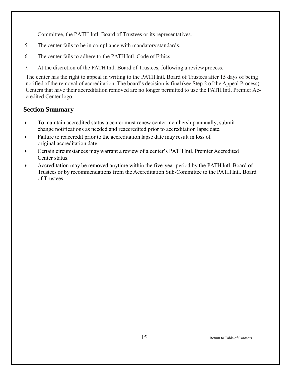<span id="page-14-0"></span>Committee, the PATH Intl. Board of Trustees or its representatives.

- 5. The center fails to be in compliance with mandatory standards.
- 6. The center fails to adhere to the PATH Intl. Code of Ethics.
- 7. At the discretion of the PATH Intl. Board of Trustees, following a review process.

The center has the right to appeal in writing to the PATH Intl. Board of Trustees after 15 days of being notified of the removal of accreditation. The board's decision is final (see [Step 2 of the Appeal Process\).](#page-10-0) Centers that have their accreditation removed are no longer permitted to use the PATH Intl. Premier Accredited Center logo.

- To maintain accredited status a center must renew center membership annually, submit change notifications as needed and reaccredited prior to accreditation lapse date.
- Failure to reaccredit prior to the accreditation lapse date may result in loss of original accreditation date.
- Certain circumstances may warrant a review of a center's PATH Intl. Premier Accredited Center status.
- Accreditation may be removed anytime within the five-year period by the PATH Intl. Board of Trustees or by recommendations from the Accreditation Sub-Committee to the PATH Intl. Board of Trustees.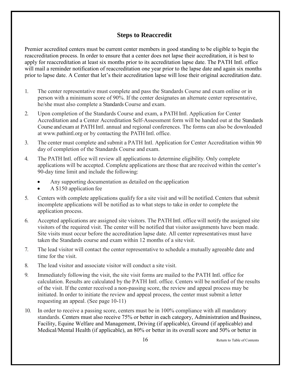# **Steps to Reaccredit**

<span id="page-15-0"></span>Premier accredited centers must be current center members in good standing to be eligible to begin the reaccreditation process. In order to ensure that a center does not lapse their accreditation, it is best to apply for reaccreditation at least six months prior to its accreditation lapse date. The PATH Intl. office will mail a reminder notification of reaccreditation one year prior to the lapse date and again six months prior to lapse date. A Center that let's their accreditation lapse will lose their original accreditation date.

- 1. The center representative must complete and pass the Standards Course and exam online or in person with a minimum score of 90%. If the center designates an alternate center representative, he/she must also complete a Standards Course and exam.
- 2. Upon completion of the Standards Course and exam, a PATH Intl. Application for Center Accreditation and a Center Accreditation Self-Assessment form will be handed out at the Standards Course and exam at PATHIntl. annual and regional conferences. The forms can also be downloaded at [www.pathintl.org o](http://www.pathintl.org/path-intl-centers/path-intl-center-accreditation)r by contacting the PATH Intl. office.
- 3. The center must complete and submit a PATH Intl. Application for Center Accreditation within 90 day of completion of the Standards Course and exam.
- 4. The PATH Intl. office will review all applications to determine eligibility. Only complete applications will be accepted. Complete applications are those that are received within the center's 90-day time limit and include the following:
	- Any supporting documentation as detailed on the application
	- A \$150 application fee
- 5. Centers with complete applications qualify for a site visit and will be notified. Centers that submit incomplete applications will be notified as to what steps to take in order to complete the application process.
- 6. Accepted applications are assigned site visitors. The PATH Intl. office will notify the assigned site visitors of the required visit. The center will be notified that visitor assignments have been made. Site visits must occur before the accreditation lapse date. All center representatives must have taken the Standards course and exam within 12 months of a site visit.
- 7. The lead visitor will contact the center representative to schedule a mutually agreeable date and time for the visit.
- 8. The lead visitor and associate visitor will conduct a site visit.
- 9. Immediately following the visit, the site visit forms are mailed to the PATH Intl. office for calculation. Results are calculated by the PATH Intl. office. Centers will be notified of the results of the visit. If the center received a non-passing score, the review and appeal process may be initiated. In order to initiate the review and appeal process, the center must submit a letter requesting an appe[al. \(See page 10-11\)](#page-9-0)
- 10. In order to receive a passing score, centers must be in 100% compliance with all mandatory standards. Centers must also receive 75% or better in each category, Administration and Business, Facility, Equine Welfare and Management, Driving (if applicable), Ground (if applicable) and Medical/Mental Health (if applicable), an 80% or better in its overall score and 50% or better in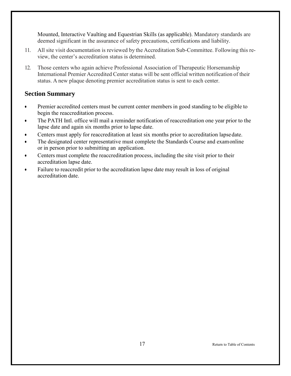Mounted, Interactive Vaulting and Equestrian Skills (as applicable). Mandatory standards are deemed significant in the assurance of safety precautions, certifications and liability.

- <span id="page-16-0"></span>11. All site visit documentation is reviewed by the Accreditation Sub-Committee. Following this review, the center's accreditation status is determined.
- 12. Those centers who again achieve Professional Association of Therapeutic Horsemanship International Premier Accredited Center status will be sent official written notification of their status. A new plaque denoting premier accreditation status is sent to each center.

- Premier accredited centers must be current center members in good standing to be eligible to begin the reaccreditation process.
- The PATH Intl. office will mail a reminder notification of reaccreditation one year prior to the lapse date and again six months prior to lapse date.
- Centers must apply for reaccreditation at least six months prior to accreditation lapsedate.
- The designated center representative must complete the Standards Course and exam online or in person prior to submitting an application.
- Centers must complete the reaccreditation process, including the site visit prior to their accreditation lapse date.
- Failure to reaccredit prior to the accreditation lapse date may result in loss of original accreditation date.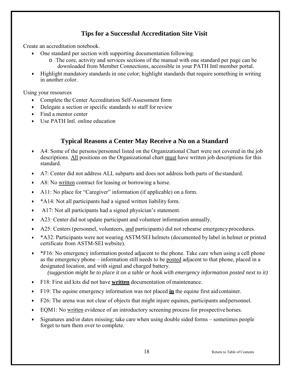# **Tips for a Successful Accreditation Site Visit**

<span id="page-17-0"></span>Create an accreditation notebook.

- One standard per section with supporting documentation following.
	- o The core, activity and services sections of the manual with one standard per page can be downloaded from Member Connections, accessible in your PATH Intl member portal.
- Highlight mandatory standards in one color; highlight standards that require something in writing in another color.

Using your resources

- Complete the Center Accreditation Self-Assessment form
- Delegate a section or specific standards to staff for review
- Find a mentor center
- <span id="page-17-1"></span>• Use PATH Intl. online education

## **Typical Reasons a Center May Receive a No on a Standard**

- A4: Some of the persons/personnel listed on the Organizational Chart were not covered in the job descriptions. All positions on the Organizational chart must have written job descriptions for this standard.
- A7: Center did not address ALL subparts and does not address both parts of the standard.
- A8: No written contract for leasing or borrowing a horse.
- A11: No place for "Caregiver" information (if applicable) on a form.
- \*A14: Not all participants had a signed written liability form.
- A17: Not all participants had a signed physician's statement.
- A23: Center did not update participant and volunteer information annually.
- A25: Centers (personnel, volunteers, and participants) did not rehearse emergency procedures.
- \*A32: Participants were not wearing ASTM/SEI helmets (documented by label in helmet or printed certificate from ASTM-SEI website).
- $\bullet\quad$  \*F16: No emergency information posted adjacent to the phone. Take care when using a cell phone as the emergency phone – information still needs to be posted adjacent to that phone, placed in a designated location, and with signal and charged battery.

*(suggestion might be to place it on a table or hook with emergency information posted next to it)* 

- F18: First aid kits did not have **written** documentation of maintenance.
- F19: The equine emergency information was not placed **in** the equine first aid container.
- F26: The arena was not clear of objects that might injure equines, participants and personnel.
- EQM1: No written evidence of an introductory screening process for prospective horses.
- Signatures and/or dates missing; take care when using double sided forms sometimes people forget to turn them over to complete.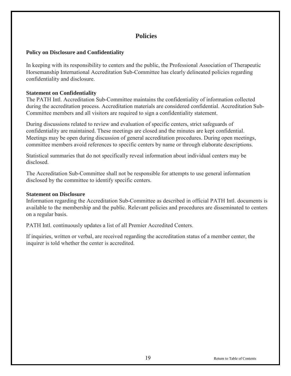# **Policies**

#### <span id="page-18-0"></span>**Policy on Disclosure and Confidentiality**

In keeping with its responsibility to centers and the public, the Professional Association of Therapeutic Horsemanship International Accreditation Sub-Committee has clearly delineated policies regarding confidentiality and disclosure.

#### **Statement on Confidentiality**

The PATH Intl. Accreditation Sub-Committee maintains the confidentiality of information collected during the accreditation process. Accreditation materials are considered confidential. Accreditation Sub-Committee members and all visitors are required to sign a confidentiality statement.

During discussions related to review and evaluation of specific centers, strict safeguards of confidentiality are maintained. These meetings are closed and the minutes are kept confidential. Meetings may be open during discussion of general accreditation procedures. During open meetings, committee members avoid references to specific centers by name or through elaborate descriptions.

Statistical summaries that do not specifically reveal information about individual centers may be disclosed.

The Accreditation Sub-Committee shall not be responsible for attempts to use general information disclosed by the committee to identify specific centers.

#### **Statement on Disclosure**

Information regarding the Accreditation Sub-Committee as described in official PATH Intl. documents is available to the membership and the public. Relevant policies and procedures are disseminated to centers on a regular basis.

PATH Intl. continuously updates a list of all Premier Accredited Centers.

If inquiries, written or verbal, are received regarding the accreditation status of a member center, the inquirer is told whether the center is accredited.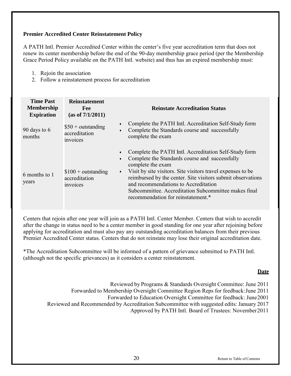#### <span id="page-19-0"></span>**Premier Accredited Center Reinstatement Policy**

A PATH Intl. Premier Accredited Center within the center's five year accreditation term that does not renew its center membership before the end of the 90-day membership grace period (per the Membership Grace Period Policy available on the PATH Intl. website) and thus has an expired membership must:

- 1. Rejoin the association
- 2. Follow a reinstatement process for accreditation

| <b>Time Past</b><br><b>Membership</b><br><b>Expiration</b> | <b>Reinstatement</b><br><b>Fee</b><br>(as of 7/1/2011) | <b>Reinstate Accreditation Status</b>                                                                                                                                                                                                                                                                                                                                                                                      |
|------------------------------------------------------------|--------------------------------------------------------|----------------------------------------------------------------------------------------------------------------------------------------------------------------------------------------------------------------------------------------------------------------------------------------------------------------------------------------------------------------------------------------------------------------------------|
| 90 days to $6$<br>months                                   | $$50 + outstanding$<br>accreditation<br>invoices       | Complete the PATH Intl. Accreditation Self-Study form<br>$\bullet$<br>Complete the Standards course and successfully<br>$\bullet$<br>complete the exam                                                                                                                                                                                                                                                                     |
| 6 months to 1<br>years                                     | $$100 + outstanding$<br>accreditation<br>invoices      | Complete the PATH Intl. Accreditation Self-Study form<br>Complete the Standards course and successfully<br>$\bullet$<br>complete the exam<br>Visit by site visitors. Site visitors travel expenses to be<br>$\bullet$<br>reimbursed by the center. Site visitors submit observations<br>and recommendations to Accreditation<br>Subcommittee. Accreditation Subcommittee makes final<br>recommendation for reinstatement.* |

Centers that rejoin after one year will join as a PATH Intl. Center Member. Centers that wish to accredit after the change in status need to be a center member in good standing for one year after rejoining before applying for accreditation and must also pay any outstanding accreditation balances from their previous Premier Accredited Center status. Centers that do not reinstate may lose their original accreditation date.

\*The Accreditation Subcommittee will be informed of a pattern of grievance submitted to PATH Intl. (although not the specific grievances) as it considers a center reinstatement.

#### **Date**

- Reviewed by Programs & Standards Oversight Committee: June 2011
- Forwarded to Membership Oversight Committee Region Reps for feedback: June 2011
	- Forwarded to Education Oversight Committee for feedback: June 2001
- Reviewed and Recommended by Accreditation Subcommittee with suggested edits: January 2017

Approved by PATH Intl. Board of Trustees: November 2011